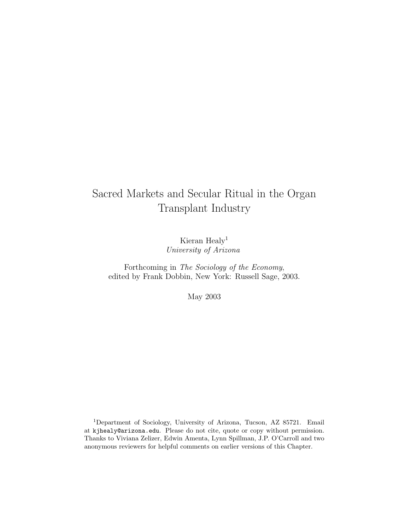# Sacred Markets and Secular Ritual in the Organ Transplant Industry

Kieran Healy<sup>1</sup> University of Arizona

Forthcoming in The Sociology of the Economy, edited by Frank Dobbin, New York: Russell Sage, 2003.

May 2003

<sup>1</sup>Department of Sociology, University of Arizona, Tucson, AZ 85721. Email at kjhealy@arizona.edu. Please do not cite, quote or copy without permission. Thanks to Viviana Zelizer, Edwin Amenta, Lynn Spillman, J.P. O'Carroll and two anonymous reviewers for helpful comments on earlier versions of this Chapter.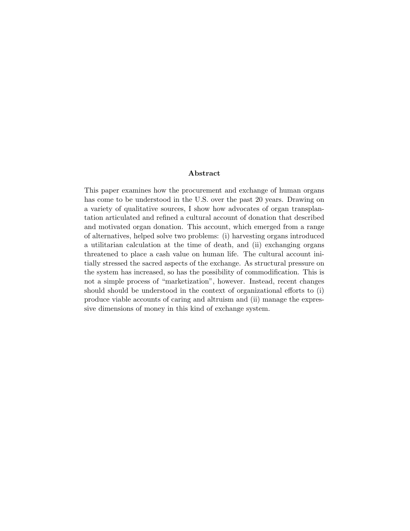### Abstract

This paper examines how the procurement and exchange of human organs has come to be understood in the U.S. over the past 20 years. Drawing on a variety of qualitative sources, I show how advocates of organ transplantation articulated and refined a cultural account of donation that described and motivated organ donation. This account, which emerged from a range of alternatives, helped solve two problems: (i) harvesting organs introduced a utilitarian calculation at the time of death, and (ii) exchanging organs threatened to place a cash value on human life. The cultural account initially stressed the sacred aspects of the exchange. As structural pressure on the system has increased, so has the possibility of commodification. This is not a simple process of "marketization", however. Instead, recent changes should should be understood in the context of organizational efforts to (i) produce viable accounts of caring and altruism and (ii) manage the expressive dimensions of money in this kind of exchange system.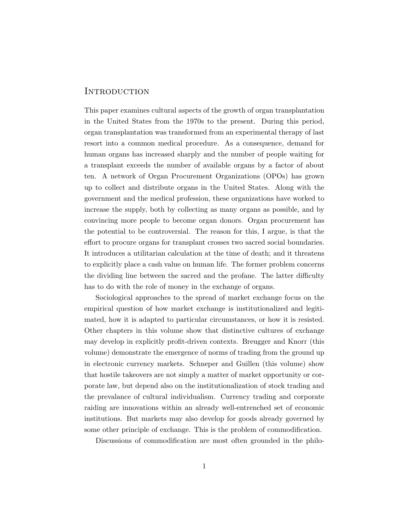# **INTRODUCTION**

This paper examines cultural aspects of the growth of organ transplantation in the United States from the 1970s to the present. During this period, organ transplantation was transformed from an experimental therapy of last resort into a common medical procedure. As a consequence, demand for human organs has increased sharply and the number of people waiting for a transplant exceeds the number of available organs by a factor of about ten. A network of Organ Procurement Organizations (OPOs) has grown up to collect and distribute organs in the United States. Along with the government and the medical profession, these organizations have worked to increase the supply, both by collecting as many organs as possible, and by convincing more people to become organ donors. Organ procurement has the potential to be controversial. The reason for this, I argue, is that the effort to procure organs for transplant crosses two sacred social boundaries. It introduces a utilitarian calculation at the time of death; and it threatens to explicitly place a cash value on human life. The former problem concerns the dividing line between the sacred and the profane. The latter difficulty has to do with the role of money in the exchange of organs.

Sociological approaches to the spread of market exchange focus on the empirical question of how market exchange is institutionalized and legitimated, how it is adapted to particular circumstances, or how it is resisted. Other chapters in this volume show that distinctive cultures of exchange may develop in explicitly profit-driven contexts. Breugger and Knorr (this volume) demonstrate the emergence of norms of trading from the ground up in electronic currency markets. Schneper and Guillen (this volume) show that hostile takeovers are not simply a matter of market opportunity or corporate law, but depend also on the institutionalization of stock trading and the prevalance of cultural individualism. Currency trading and corporate raiding are innovations within an already well-entrenched set of economic institutions. But markets may also develop for goods already governed by some other principle of exchange. This is the problem of commodification.

Discussions of commodification are most often grounded in the philo-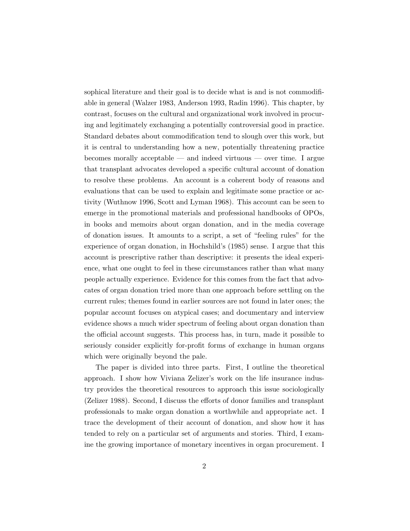sophical literature and their goal is to decide what is and is not commodifiable in general (Walzer 1983, Anderson 1993, Radin 1996). This chapter, by contrast, focuses on the cultural and organizational work involved in procuring and legitimately exchanging a potentially controversial good in practice. Standard debates about commodification tend to slough over this work, but it is central to understanding how a new, potentially threatening practice becomes morally acceptable — and indeed virtuous — over time. I argue that transplant advocates developed a specific cultural account of donation to resolve these problems. An account is a coherent body of reasons and evaluations that can be used to explain and legitimate some practice or activity (Wuthnow 1996, Scott and Lyman 1968). This account can be seen to emerge in the promotional materials and professional handbooks of OPOs, in books and memoirs about organ donation, and in the media coverage of donation issues. It amounts to a script, a set of "feeling rules" for the experience of organ donation, in Hochshild's (1985) sense. I argue that this account is prescriptive rather than descriptive: it presents the ideal experience, what one ought to feel in these circumstances rather than what many people actually experience. Evidence for this comes from the fact that advocates of organ donation tried more than one approach before settling on the current rules; themes found in earlier sources are not found in later ones; the popular account focuses on atypical cases; and documentary and interview evidence shows a much wider spectrum of feeling about organ donation than the official account suggests. This process has, in turn, made it possible to seriously consider explicitly for-profit forms of exchange in human organs which were originally beyond the pale.

The paper is divided into three parts. First, I outline the theoretical approach. I show how Viviana Zelizer's work on the life insurance industry provides the theoretical resources to approach this issue sociologically (Zelizer 1988). Second, I discuss the efforts of donor families and transplant professionals to make organ donation a worthwhile and appropriate act. I trace the development of their account of donation, and show how it has tended to rely on a particular set of arguments and stories. Third, I examine the growing importance of monetary incentives in organ procurement. I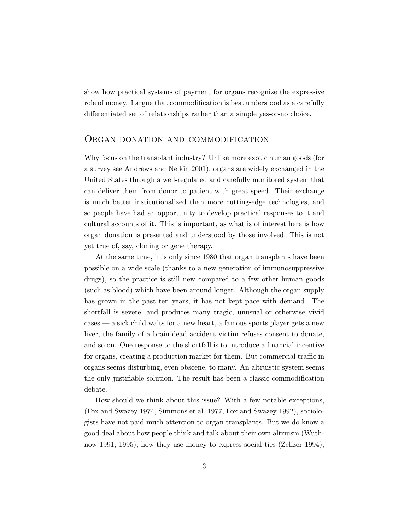show how practical systems of payment for organs recognize the expressive role of money. I argue that commodification is best understood as a carefully differentiated set of relationships rather than a simple yes-or-no choice.

#### Organ donation and commodification

Why focus on the transplant industry? Unlike more exotic human goods (for a survey see Andrews and Nelkin 2001), organs are widely exchanged in the United States through a well-regulated and carefully monitored system that can deliver them from donor to patient with great speed. Their exchange is much better institutionalized than more cutting-edge technologies, and so people have had an opportunity to develop practical responses to it and cultural accounts of it. This is important, as what is of interest here is how organ donation is presented and understood by those involved. This is not yet true of, say, cloning or gene therapy.

At the same time, it is only since 1980 that organ transplants have been possible on a wide scale (thanks to a new generation of immunosuppressive drugs), so the practice is still new compared to a few other human goods (such as blood) which have been around longer. Although the organ supply has grown in the past ten years, it has not kept pace with demand. The shortfall is severe, and produces many tragic, unusual or otherwise vivid cases — a sick child waits for a new heart, a famous sports player gets a new liver, the family of a brain-dead accident victim refuses consent to donate, and so on. One response to the shortfall is to introduce a financial incentive for organs, creating a production market for them. But commercial traffic in organs seems disturbing, even obscene, to many. An altruistic system seems the only justifiable solution. The result has been a classic commodification debate.

How should we think about this issue? With a few notable exceptions, (Fox and Swazey 1974, Simmons et al. 1977, Fox and Swazey 1992), sociologists have not paid much attention to organ transplants. But we do know a good deal about how people think and talk about their own altruism (Wuthnow 1991, 1995), how they use money to express social ties (Zelizer 1994),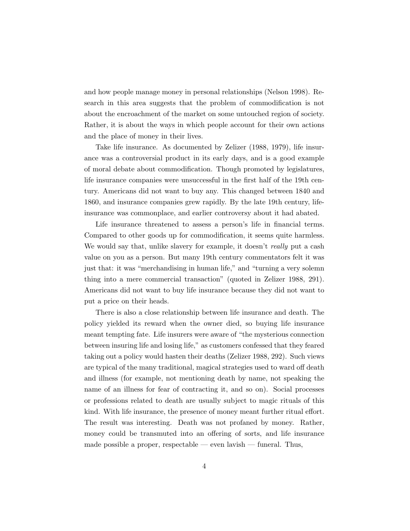and how people manage money in personal relationships (Nelson 1998). Research in this area suggests that the problem of commodification is not about the encroachment of the market on some untouched region of society. Rather, it is about the ways in which people account for their own actions and the place of money in their lives.

Take life insurance. As documented by Zelizer (1988, 1979), life insurance was a controversial product in its early days, and is a good example of moral debate about commodification. Though promoted by legislatures, life insurance companies were unsuccessful in the first half of the 19th century. Americans did not want to buy any. This changed between 1840 and 1860, and insurance companies grew rapidly. By the late 19th century, lifeinsurance was commonplace, and earlier controversy about it had abated.

Life insurance threatened to assess a person's life in financial terms. Compared to other goods up for commodification, it seems quite harmless. We would say that, unlike slavery for example, it doesn't really put a cash value on you as a person. But many 19th century commentators felt it was just that: it was "merchandising in human life," and "turning a very solemn thing into a mere commercial transaction" (quoted in Zelizer 1988, 291). Americans did not want to buy life insurance because they did not want to put a price on their heads.

There is also a close relationship between life insurance and death. The policy yielded its reward when the owner died, so buying life insurance meant tempting fate. Life insurers were aware of "the mysterious connection between insuring life and losing life," as customers confessed that they feared taking out a policy would hasten their deaths (Zelizer 1988, 292). Such views are typical of the many traditional, magical strategies used to ward off death and illness (for example, not mentioning death by name, not speaking the name of an illness for fear of contracting it, and so on). Social processes or professions related to death are usually subject to magic rituals of this kind. With life insurance, the presence of money meant further ritual effort. The result was interesting. Death was not profaned by money. Rather, money could be transmuted into an offering of sorts, and life insurance made possible a proper, respectable — even lavish — funeral. Thus,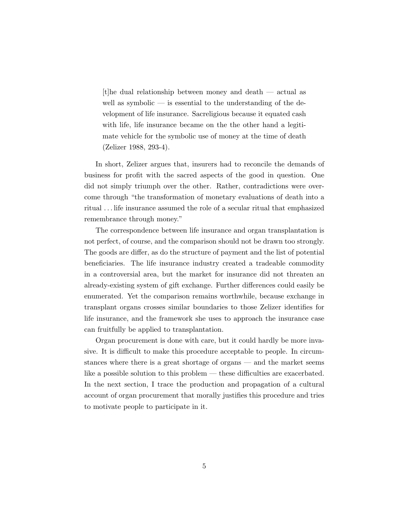[t]he dual relationship between money and death — actual as well as symbolic  $-$  is essential to the understanding of the development of life insurance. Sacreligious because it equated cash with life, life insurance became on the the other hand a legitimate vehicle for the symbolic use of money at the time of death (Zelizer 1988, 293-4).

In short, Zelizer argues that, insurers had to reconcile the demands of business for profit with the sacred aspects of the good in question. One did not simply triumph over the other. Rather, contradictions were overcome through "the transformation of monetary evaluations of death into a ritual . . . life insurance assumed the role of a secular ritual that emphasized remembrance through money."

The correspondence between life insurance and organ transplantation is not perfect, of course, and the comparison should not be drawn too strongly. The goods are differ, as do the structure of payment and the list of potential beneficiaries. The life insurance industry created a tradeable commodity in a controversial area, but the market for insurance did not threaten an already-existing system of gift exchange. Further differences could easily be enumerated. Yet the comparison remains worthwhile, because exchange in transplant organs crosses similar boundaries to those Zelizer identifies for life insurance, and the framework she uses to approach the insurance case can fruitfully be applied to transplantation.

Organ procurement is done with care, but it could hardly be more invasive. It is difficult to make this procedure acceptable to people. In circumstances where there is a great shortage of organs — and the market seems like a possible solution to this problem — these difficulties are exacerbated. In the next section, I trace the production and propagation of a cultural account of organ procurement that morally justifies this procedure and tries to motivate people to participate in it.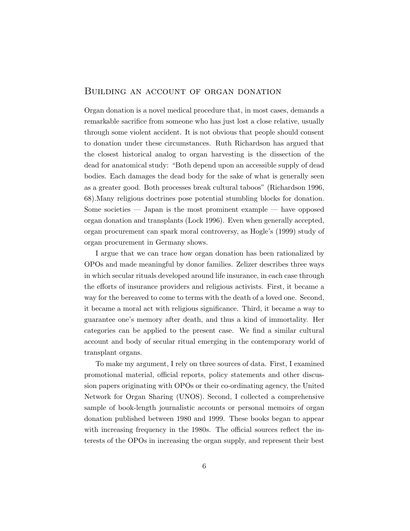# Building an account of organ donation

Organ donation is a novel medical procedure that, in most cases, demands a remarkable sacrifice from someone who has just lost a close relative, usually through some violent accident. It is not obvious that people should consent to donation under these circumstances. Ruth Richardson has argued that the closest historical analog to organ harvesting is the dissection of the dead for anatomical study: "Both depend upon an accessible supply of dead bodies. Each damages the dead body for the sake of what is generally seen as a greater good. Both processes break cultural taboos" (Richardson 1996, 68).Many religious doctrines pose potential stumbling blocks for donation. Some societies — Japan is the most prominent example — have opposed organ donation and transplants (Lock 1996). Even when generally accepted, organ procurement can spark moral controversy, as Hogle's (1999) study of organ procurement in Germany shows.

I argue that we can trace how organ donation has been rationalized by OPOs and made meaningful by donor families. Zelizer describes three ways in which secular rituals developed around life insurance, in each case through the efforts of insurance providers and religious activists. First, it became a way for the bereaved to come to terms with the death of a loved one. Second, it became a moral act with religious significance. Third, it became a way to guarantee one's memory after death, and thus a kind of immortality. Her categories can be applied to the present case. We find a similar cultural account and body of secular ritual emerging in the contemporary world of transplant organs.

To make my argument, I rely on three sources of data. First, I examined promotional material, official reports, policy statements and other discussion papers originating with OPOs or their co-ordinating agency, the United Network for Organ Sharing (UNOS). Second, I collected a comprehensive sample of book-length journalistic accounts or personal memoirs of organ donation published between 1980 and 1999. These books began to appear with increasing frequency in the 1980s. The official sources reflect the interests of the OPOs in increasing the organ supply, and represent their best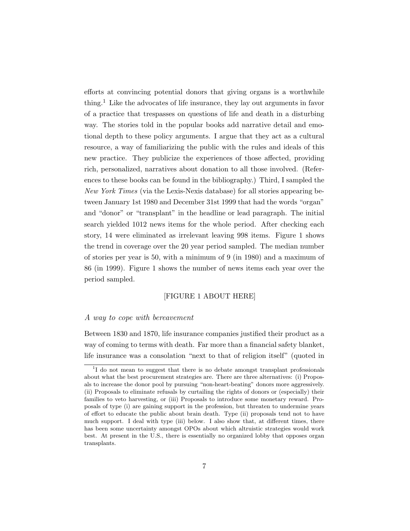efforts at convincing potential donors that giving organs is a worthwhile thing.<sup>1</sup> Like the advocates of life insurance, they lay out arguments in favor of a practice that trespasses on questions of life and death in a disturbing way. The stories told in the popular books add narrative detail and emotional depth to these policy arguments. I argue that they act as a cultural resource, a way of familiarizing the public with the rules and ideals of this new practice. They publicize the experiences of those affected, providing rich, personalized, narratives about donation to all those involved. (References to these books can be found in the bibliography.) Third, I sampled the New York Times (via the Lexis-Nexis database) for all stories appearing between January 1st 1980 and December 31st 1999 that had the words "organ" and "donor" or "transplant" in the headline or lead paragraph. The initial search yielded 1012 news items for the whole period. After checking each story, 14 were eliminated as irrelevant leaving 998 items. Figure 1 shows the trend in coverage over the 20 year period sampled. The median number of stories per year is 50, with a minimum of 9 (in 1980) and a maximum of 86 (in 1999). Figure 1 shows the number of news items each year over the period sampled.

#### [FIGURE 1 ABOUT HERE]

#### A way to cope with bereavement

Between 1830 and 1870, life insurance companies justified their product as a way of coming to terms with death. Far more than a financial safety blanket, life insurance was a consolation "next to that of religion itself" (quoted in

<sup>&</sup>lt;sup>1</sup>I do not mean to suggest that there is no debate amongst transplant professionals about what the best procurement strategies are. There are three alternatives: (i) Proposals to increase the donor pool by pursuing "non-heart-beating" donors more aggressively. (ii) Proposals to eliminate refusals by curtailing the rights of donors or (especially) their families to veto harvesting, or (iii) Proposals to introduce some monetary reward. Proposals of type (i) are gaining support in the profession, but threaten to undermine years of effort to educate the public about brain death. Type (ii) proposals tend not to have much support. I deal with type (iii) below. I also show that, at different times, there has been some uncertainty amongst OPOs about which altruistic strategies would work best. At present in the U.S., there is essentially no organized lobby that opposes organ transplants.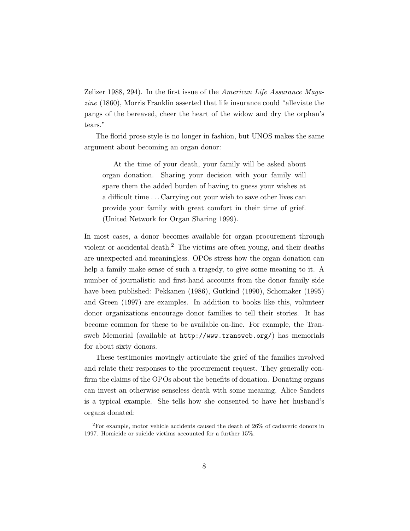Zelizer 1988, 294). In the first issue of the American Life Assurance Magazine (1860), Morris Franklin asserted that life insurance could "alleviate the pangs of the bereaved, cheer the heart of the widow and dry the orphan's tears."

The florid prose style is no longer in fashion, but UNOS makes the same argument about becoming an organ donor:

At the time of your death, your family will be asked about organ donation. Sharing your decision with your family will spare them the added burden of having to guess your wishes at a difficult time . . . Carrying out your wish to save other lives can provide your family with great comfort in their time of grief. (United Network for Organ Sharing 1999).

In most cases, a donor becomes available for organ procurement through violent or accidental death.<sup>2</sup> The victims are often young, and their deaths are unexpected and meaningless. OPOs stress how the organ donation can help a family make sense of such a tragedy, to give some meaning to it. A number of journalistic and first-hand accounts from the donor family side have been published: Pekkanen (1986), Gutkind (1990), Schomaker (1995) and Green (1997) are examples. In addition to books like this, volunteer donor organizations encourage donor families to tell their stories. It has become common for these to be available on-line. For example, the Transweb Memorial (available at http://www.transweb.org/) has memorials for about sixty donors.

These testimonies movingly articulate the grief of the families involved and relate their responses to the procurement request. They generally confirm the claims of the OPOs about the benefits of donation. Donating organs can invest an otherwise senseless death with some meaning. Alice Sanders is a typical example. She tells how she consented to have her husband's organs donated:

 ${}^{2}$ For example, motor vehicle accidents caused the death of 26% of cadaveric donors in 1997. Homicide or suicide victims accounted for a further 15%.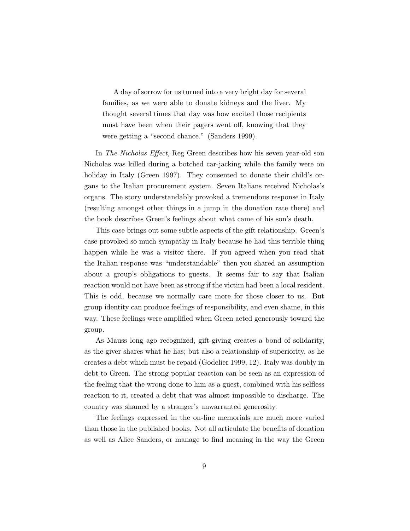A day of sorrow for us turned into a very bright day for several families, as we were able to donate kidneys and the liver. My thought several times that day was how excited those recipients must have been when their pagers went off, knowing that they were getting a "second chance." (Sanders 1999).

In The Nicholas Effect, Reg Green describes how his seven year-old son Nicholas was killed during a botched car-jacking while the family were on holiday in Italy (Green 1997). They consented to donate their child's organs to the Italian procurement system. Seven Italians received Nicholas's organs. The story understandably provoked a tremendous response in Italy (resulting amongst other things in a jump in the donation rate there) and the book describes Green's feelings about what came of his son's death.

This case brings out some subtle aspects of the gift relationship. Green's case provoked so much sympathy in Italy because he had this terrible thing happen while he was a visitor there. If you agreed when you read that the Italian response was "understandable" then you shared an assumption about a group's obligations to guests. It seems fair to say that Italian reaction would not have been as strong if the victim had been a local resident. This is odd, because we normally care more for those closer to us. But group identity can produce feelings of responsibility, and even shame, in this way. These feelings were amplified when Green acted generously toward the group.

As Mauss long ago recognized, gift-giving creates a bond of solidarity, as the giver shares what he has; but also a relationship of superiority, as he creates a debt which must be repaid (Godelier 1999, 12). Italy was doubly in debt to Green. The strong popular reaction can be seen as an expression of the feeling that the wrong done to him as a guest, combined with his selfless reaction to it, created a debt that was almost impossible to discharge. The country was shamed by a stranger's unwarranted generosity.

The feelings expressed in the on-line memorials are much more varied than those in the published books. Not all articulate the benefits of donation as well as Alice Sanders, or manage to find meaning in the way the Green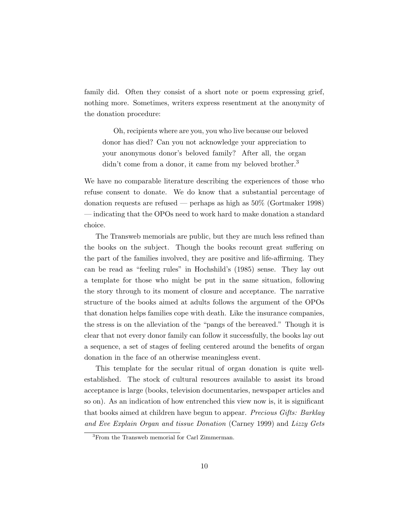family did. Often they consist of a short note or poem expressing grief, nothing more. Sometimes, writers express resentment at the anonymity of the donation procedure:

Oh, recipients where are you, you who live because our beloved donor has died? Can you not acknowledge your appreciation to your anonymous donor's beloved family? After all, the organ didn't come from a donor, it came from my beloved brother.<sup>3</sup>

We have no comparable literature describing the experiences of those who refuse consent to donate. We do know that a substantial percentage of donation requests are refused — perhaps as high as  $50\%$  (Gortmaker 1998) — indicating that the OPOs need to work hard to make donation a standard choice.

The Transweb memorials are public, but they are much less refined than the books on the subject. Though the books recount great suffering on the part of the families involved, they are positive and life-affirming. They can be read as "feeling rules" in Hochshild's (1985) sense. They lay out a template for those who might be put in the same situation, following the story through to its moment of closure and acceptance. The narrative structure of the books aimed at adults follows the argument of the OPOs that donation helps families cope with death. Like the insurance companies, the stress is on the alleviation of the "pangs of the bereaved." Though it is clear that not every donor family can follow it successfully, the books lay out a sequence, a set of stages of feeling centered around the benefits of organ donation in the face of an otherwise meaningless event.

This template for the secular ritual of organ donation is quite wellestablished. The stock of cultural resources available to assist its broad acceptance is large (books, television documentaries, newspaper articles and so on). As an indication of how entrenched this view now is, it is significant that books aimed at children have begun to appear. Precious Gifts: Barklay and Eve Explain Organ and tissue Donation (Carney 1999) and Lizzy Gets

<sup>&</sup>lt;sup>3</sup>From the Transweb memorial for Carl Zimmerman.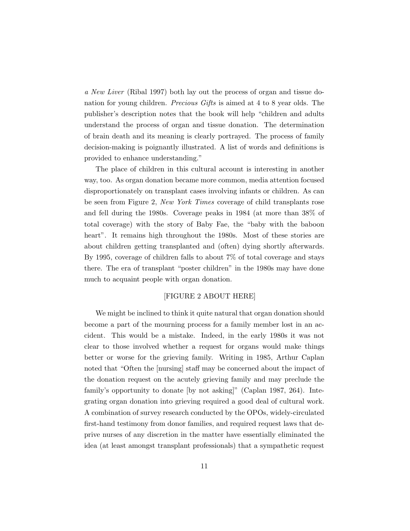a New Liver (Ribal 1997) both lay out the process of organ and tissue donation for young children. Precious Gifts is aimed at 4 to 8 year olds. The publisher's description notes that the book will help "children and adults understand the process of organ and tissue donation. The determination of brain death and its meaning is clearly portrayed. The process of family decision-making is poignantly illustrated. A list of words and definitions is provided to enhance understanding."

The place of children in this cultural account is interesting in another way, too. As organ donation became more common, media attention focused disproportionately on transplant cases involving infants or children. As can be seen from Figure 2, New York Times coverage of child transplants rose and fell during the 1980s. Coverage peaks in 1984 (at more than 38% of total coverage) with the story of Baby Fae, the "baby with the baboon heart". It remains high throughout the 1980s. Most of these stories are about children getting transplanted and (often) dying shortly afterwards. By 1995, coverage of children falls to about 7% of total coverage and stays there. The era of transplant "poster children" in the 1980s may have done much to acquaint people with organ donation.

#### [FIGURE 2 ABOUT HERE]

We might be inclined to think it quite natural that organ donation should become a part of the mourning process for a family member lost in an accident. This would be a mistake. Indeed, in the early 1980s it was not clear to those involved whether a request for organs would make things better or worse for the grieving family. Writing in 1985, Arthur Caplan noted that "Often the [nursing] staff may be concerned about the impact of the donation request on the acutely grieving family and may preclude the family's opportunity to donate [by not asking]" (Caplan 1987, 264). Integrating organ donation into grieving required a good deal of cultural work. A combination of survey research conducted by the OPOs, widely-circulated first-hand testimony from donor families, and required request laws that deprive nurses of any discretion in the matter have essentially eliminated the idea (at least amongst transplant professionals) that a sympathetic request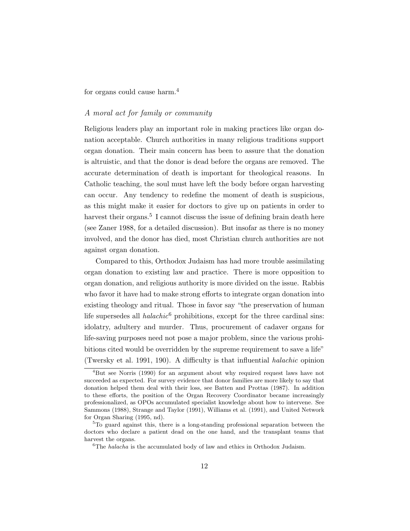for organs could cause harm.<sup>4</sup>

#### A moral act for family or community

Religious leaders play an important role in making practices like organ donation acceptable. Church authorities in many religious traditions support organ donation. Their main concern has been to assure that the donation is altruistic, and that the donor is dead before the organs are removed. The accurate determination of death is important for theological reasons. In Catholic teaching, the soul must have left the body before organ harvesting can occur. Any tendency to redefine the moment of death is suspicious, as this might make it easier for doctors to give up on patients in order to harvest their organs.<sup>5</sup> I cannot discuss the issue of defining brain death here (see Zaner 1988, for a detailed discussion). But insofar as there is no money involved, and the donor has died, most Christian church authorities are not against organ donation.

Compared to this, Orthodox Judaism has had more trouble assimilating organ donation to existing law and practice. There is more opposition to organ donation, and religious authority is more divided on the issue. Rabbis who favor it have had to make strong efforts to integrate organ donation into existing theology and ritual. Those in favor say "the preservation of human life supersedes all  $halachic^6$  prohibitions, except for the three cardinal sins: idolatry, adultery and murder. Thus, procurement of cadaver organs for life-saving purposes need not pose a major problem, since the various prohibitions cited would be overridden by the supreme requirement to save a life" (Twersky et al. 1991, 190). A difficulty is that influential halachic opinion

<sup>4</sup>But see Norris (1990) for an argument about why required request laws have not succeeded as expected. For survey evidence that donor families are more likely to say that donation helped them deal with their loss, see Batten and Prottas (1987). In addition to these efforts, the position of the Organ Recovery Coordinator became increasingly professionalized, as OPOs accumulated specialist knowledge about how to intervene. See Sammons (1988), Strange and Taylor (1991), Williams et al. (1991), and United Network for Organ Sharing (1995, nd).

<sup>&</sup>lt;sup>5</sup>To guard against this, there is a long-standing professional separation between the doctors who declare a patient dead on the one hand, and the transplant teams that harvest the organs.

 $6$ The *halacha* is the accumulated body of law and ethics in Orthodox Judaism.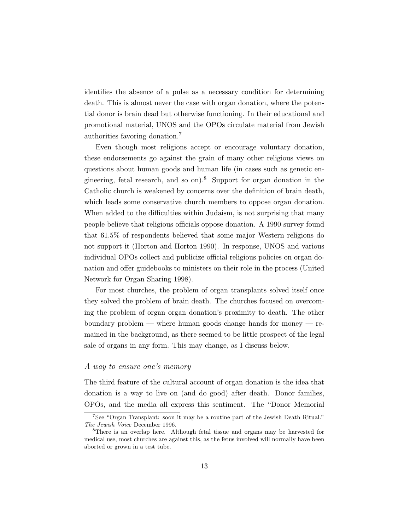identifies the absence of a pulse as a necessary condition for determining death. This is almost never the case with organ donation, where the potential donor is brain dead but otherwise functioning. In their educational and promotional material, UNOS and the OPOs circulate material from Jewish authorities favoring donation.<sup>7</sup>

Even though most religions accept or encourage voluntary donation, these endorsements go against the grain of many other religious views on questions about human goods and human life (in cases such as genetic engineering, fetal research, and so on).<sup>8</sup> Support for organ donation in the Catholic church is weakened by concerns over the definition of brain death, which leads some conservative church members to oppose organ donation. When added to the difficulties within Judaism, is not surprising that many people believe that religious officials oppose donation. A 1990 survey found that 61.5% of respondents believed that some major Western religions do not support it (Horton and Horton 1990). In response, UNOS and various individual OPOs collect and publicize official religious policies on organ donation and offer guidebooks to ministers on their role in the process (United Network for Organ Sharing 1998).

For most churches, the problem of organ transplants solved itself once they solved the problem of brain death. The churches focused on overcoming the problem of organ organ donation's proximity to death. The other boundary problem — where human goods change hands for money — remained in the background, as there seemed to be little prospect of the legal sale of organs in any form. This may change, as I discuss below.

### A way to ensure one's memory

The third feature of the cultural account of organ donation is the idea that donation is a way to live on (and do good) after death. Donor families, OPOs, and the media all express this sentiment. The "Donor Memorial

<sup>7</sup>See "Organ Transplant: soon it may be a routine part of the Jewish Death Ritual." The Jewish Voice December 1996.

<sup>8</sup>There is an overlap here. Although fetal tissue and organs may be harvested for medical use, most churches are against this, as the fetus involved will normally have been aborted or grown in a test tube.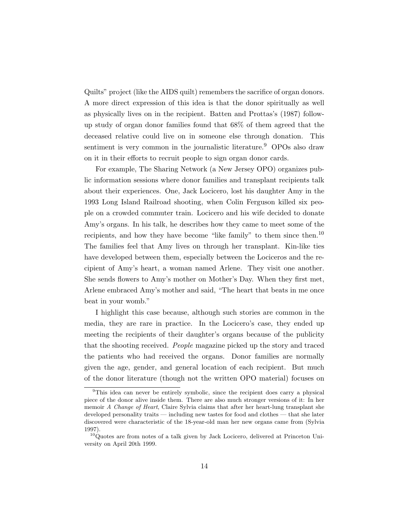Quilts" project (like the AIDS quilt) remembers the sacrifice of organ donors. A more direct expression of this idea is that the donor spiritually as well as physically lives on in the recipient. Batten and Prottas's (1987) followup study of organ donor families found that 68% of them agreed that the deceased relative could live on in someone else through donation. This sentiment is very common in the journalistic literature.<sup>9</sup> OPOs also draw on it in their efforts to recruit people to sign organ donor cards.

For example, The Sharing Network (a New Jersey OPO) organizes public information sessions where donor families and transplant recipients talk about their experiences. One, Jack Locicero, lost his daughter Amy in the 1993 Long Island Railroad shooting, when Colin Ferguson killed six people on a crowded commuter train. Locicero and his wife decided to donate Amy's organs. In his talk, he describes how they came to meet some of the recipients, and how they have become "like family" to them since then.<sup>10</sup> The families feel that Amy lives on through her transplant. Kin-like ties have developed between them, especially between the Lociceros and the recipient of Amy's heart, a woman named Arlene. They visit one another. She sends flowers to Amy's mother on Mother's Day. When they first met, Arlene embraced Amy's mother and said, "The heart that beats in me once beat in your womb."

I highlight this case because, although such stories are common in the media, they are rare in practice. In the Locicero's case, they ended up meeting the recipients of their daughter's organs because of the publicity that the shooting received. People magazine picked up the story and traced the patients who had received the organs. Donor families are normally given the age, gender, and general location of each recipient. But much of the donor literature (though not the written OPO material) focuses on

<sup>&</sup>lt;sup>9</sup>This idea can never be entirely symbolic, since the recipient does carry a physical piece of the donor alive inside them. There are also much stronger versions of it: In her memoir A Change of Heart, Claire Sylvia claims that after her heart-lung transplant she developed personality traits — including new tastes for food and clothes — that she later discovered were characteristic of the 18-year-old man her new organs came from (Sylvia 1997).

<sup>&</sup>lt;sup>10</sup>Quotes are from notes of a talk given by Jack Locicero, delivered at Princeton University on April 20th 1999.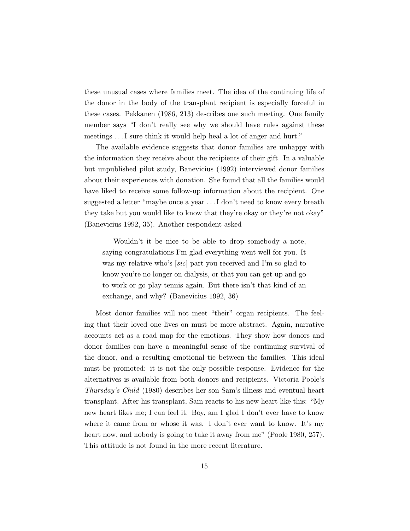these unusual cases where families meet. The idea of the continuing life of the donor in the body of the transplant recipient is especially forceful in these cases. Pekkanen (1986, 213) describes one such meeting. One family member says "I don't really see why we should have rules against these meetings . . . I sure think it would help heal a lot of anger and hurt."

The available evidence suggests that donor families are unhappy with the information they receive about the recipients of their gift. In a valuable but unpublished pilot study, Banevicius (1992) interviewed donor families about their experiences with donation. She found that all the families would have liked to receive some follow-up information about the recipient. One suggested a letter "maybe once a year . . . I don't need to know every breath they take but you would like to know that they're okay or they're not okay" (Banevicius 1992, 35). Another respondent asked

Wouldn't it be nice to be able to drop somebody a note, saying congratulations I'm glad everything went well for you. It was my relative who's [sic] part you received and I'm so glad to know you're no longer on dialysis, or that you can get up and go to work or go play tennis again. But there isn't that kind of an exchange, and why? (Banevicius 1992, 36)

Most donor families will not meet "their" organ recipients. The feeling that their loved one lives on must be more abstract. Again, narrative accounts act as a road map for the emotions. They show how donors and donor families can have a meaningful sense of the continuing survival of the donor, and a resulting emotional tie between the families. This ideal must be promoted: it is not the only possible response. Evidence for the alternatives is available from both donors and recipients. Victoria Poole's Thursday's Child (1980) describes her son Sam's illness and eventual heart transplant. After his transplant, Sam reacts to his new heart like this: "My new heart likes me; I can feel it. Boy, am I glad I don't ever have to know where it came from or whose it was. I don't ever want to know. It's my heart now, and nobody is going to take it away from me" (Poole 1980, 257). This attitude is not found in the more recent literature.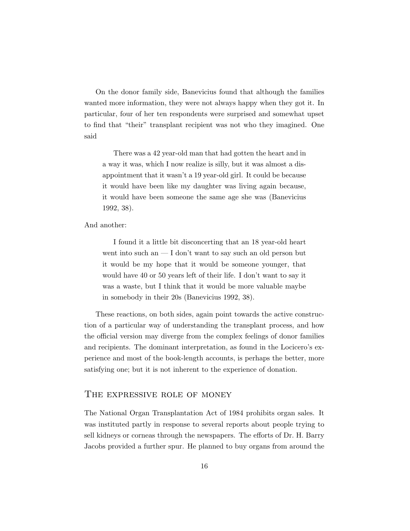On the donor family side, Banevicius found that although the families wanted more information, they were not always happy when they got it. In particular, four of her ten respondents were surprised and somewhat upset to find that "their" transplant recipient was not who they imagined. One said

There was a 42 year-old man that had gotten the heart and in a way it was, which I now realize is silly, but it was almost a disappointment that it wasn't a 19 year-old girl. It could be because it would have been like my daughter was living again because, it would have been someone the same age she was (Banevicius 1992, 38).

And another:

I found it a little bit disconcerting that an 18 year-old heart went into such an  $- I$  don't want to say such an old person but it would be my hope that it would be someone younger, that would have 40 or 50 years left of their life. I don't want to say it was a waste, but I think that it would be more valuable maybe in somebody in their 20s (Banevicius 1992, 38).

These reactions, on both sides, again point towards the active construction of a particular way of understanding the transplant process, and how the official version may diverge from the complex feelings of donor families and recipients. The dominant interpretation, as found in the Locicero's experience and most of the book-length accounts, is perhaps the better, more satisfying one; but it is not inherent to the experience of donation.

# THE EXPRESSIVE ROLE OF MONEY

The National Organ Transplantation Act of 1984 prohibits organ sales. It was instituted partly in response to several reports about people trying to sell kidneys or corneas through the newspapers. The efforts of Dr. H. Barry Jacobs provided a further spur. He planned to buy organs from around the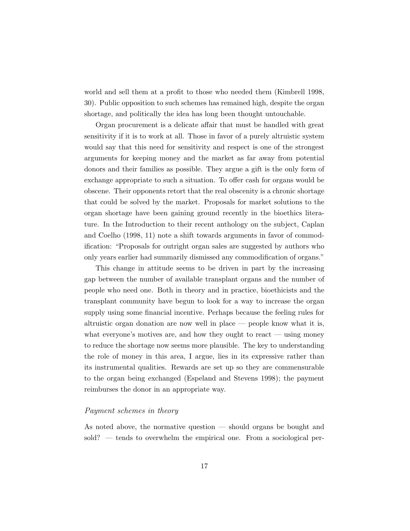world and sell them at a profit to those who needed them (Kimbrell 1998, 30). Public opposition to such schemes has remained high, despite the organ shortage, and politically the idea has long been thought untouchable.

Organ procurement is a delicate affair that must be handled with great sensitivity if it is to work at all. Those in favor of a purely altruistic system would say that this need for sensitivity and respect is one of the strongest arguments for keeping money and the market as far away from potential donors and their families as possible. They argue a gift is the only form of exchange appropriate to such a situation. To offer cash for organs would be obscene. Their opponents retort that the real obscenity is a chronic shortage that could be solved by the market. Proposals for market solutions to the organ shortage have been gaining ground recently in the bioethics literature. In the Introduction to their recent anthology on the subject, Caplan and Coelho (1998, 11) note a shift towards arguments in favor of commodification: "Proposals for outright organ sales are suggested by authors who only years earlier had summarily dismissed any commodification of organs."

This change in attitude seems to be driven in part by the increasing gap between the number of available transplant organs and the number of people who need one. Both in theory and in practice, bioethicists and the transplant community have begun to look for a way to increase the organ supply using some financial incentive. Perhaps because the feeling rules for altruistic organ donation are now well in place — people know what it is, what everyone's motives are, and how they ought to react — using money to reduce the shortage now seems more plausible. The key to understanding the role of money in this area, I argue, lies in its expressive rather than its instrumental qualities. Rewards are set up so they are commensurable to the organ being exchanged (Espeland and Stevens 1998); the payment reimburses the donor in an appropriate way.

## Payment schemes in theory

As noted above, the normative question — should organs be bought and sold? — tends to overwhelm the empirical one. From a sociological per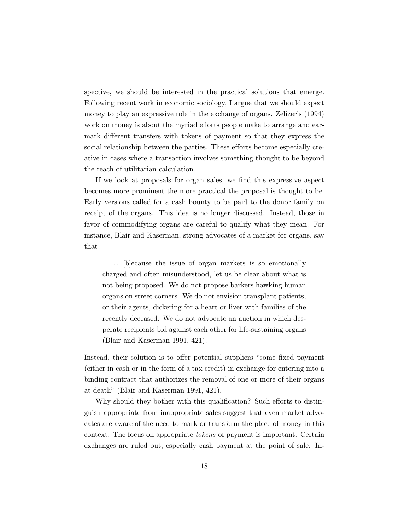spective, we should be interested in the practical solutions that emerge. Following recent work in economic sociology, I argue that we should expect money to play an expressive role in the exchange of organs. Zelizer's (1994) work on money is about the myriad efforts people make to arrange and earmark different transfers with tokens of payment so that they express the social relationship between the parties. These efforts become especially creative in cases where a transaction involves something thought to be beyond the reach of utilitarian calculation.

If we look at proposals for organ sales, we find this expressive aspect becomes more prominent the more practical the proposal is thought to be. Early versions called for a cash bounty to be paid to the donor family on receipt of the organs. This idea is no longer discussed. Instead, those in favor of commodifying organs are careful to qualify what they mean. For instance, Blair and Kaserman, strong advocates of a market for organs, say that

. . . [b]ecause the issue of organ markets is so emotionally charged and often misunderstood, let us be clear about what is not being proposed. We do not propose barkers hawking human organs on street corners. We do not envision transplant patients, or their agents, dickering for a heart or liver with families of the recently deceased. We do not advocate an auction in which desperate recipients bid against each other for life-sustaining organs (Blair and Kaserman 1991, 421).

Instead, their solution is to offer potential suppliers "some fixed payment (either in cash or in the form of a tax credit) in exchange for entering into a binding contract that authorizes the removal of one or more of their organs at death" (Blair and Kaserman 1991, 421).

Why should they bother with this qualification? Such efforts to distinguish appropriate from inappropriate sales suggest that even market advocates are aware of the need to mark or transform the place of money in this context. The focus on appropriate tokens of payment is important. Certain exchanges are ruled out, especially cash payment at the point of sale. In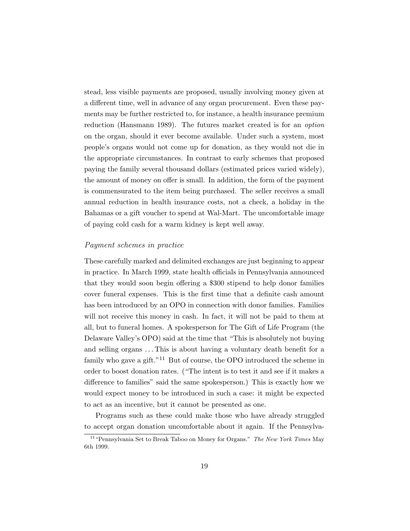stead, less visible payments are proposed, usually involving money given at a different time, well in advance of any organ procurement. Even these payments may be further restricted to, for instance, a health insurance premium reduction (Hansmann 1989). The futures market created is for an option on the organ, should it ever become available. Under such a system, most people's organs would not come up for donation, as they would not die in the appropriate circumstances. In contrast to early schemes that proposed paying the family several thousand dollars (estimated prices varied widely), the amount of money on offer is small. In addition, the form of the payment is commensurated to the item being purchased. The seller receives a small annual reduction in health insurance costs, not a check, a holiday in the Bahamas or a gift voucher to spend at Wal-Mart. The uncomfortable image of paying cold cash for a warm kidney is kept well away.

#### Payment schemes in practice

These carefully marked and delimited exchanges are just beginning to appear in practice. In March 1999, state health officials in Pennsylvania announced that they would soon begin offering a \$300 stipend to help donor families cover funeral expenses. This is the first time that a definite cash amount has been introduced by an OPO in connection with donor families. Families will not receive this money in cash. In fact, it will not be paid to them at all, but to funeral homes. A spokesperson for The Gift of Life Program (the Delaware Valley's OPO) said at the time that "This is absolutely not buying and selling organs ... This is about having a voluntary death benefit for a family who gave a gift.<sup>"11</sup> But of course, the OPO introduced the scheme in order to boost donation rates. ("The intent is to test it and see if it makes a difference to families" said the same spokesperson.) This is exactly how we would expect money to be introduced in such a case: it might be expected to act as an incentive, but it cannot be presented as one.

Programs such as these could make those who have already struggled to accept organ donation uncomfortable about it again. If the Pennsylva-

 $11$  "Pennsylvania Set to Break Taboo on Money for Organs." The New York Times May 6th 1999.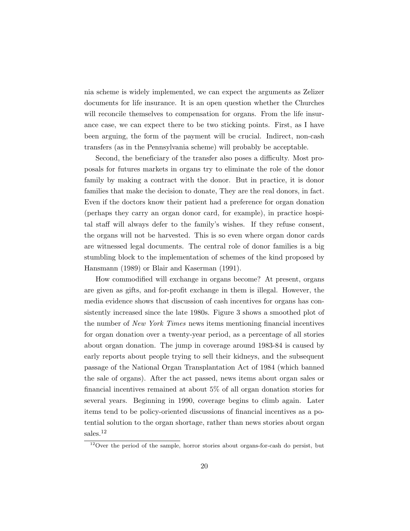nia scheme is widely implemented, we can expect the arguments as Zelizer documents for life insurance. It is an open question whether the Churches will reconcile themselves to compensation for organs. From the life insurance case, we can expect there to be two sticking points. First, as I have been arguing, the form of the payment will be crucial. Indirect, non-cash transfers (as in the Pennsylvania scheme) will probably be acceptable.

Second, the beneficiary of the transfer also poses a difficulty. Most proposals for futures markets in organs try to eliminate the role of the donor family by making a contract with the donor. But in practice, it is donor families that make the decision to donate, They are the real donors, in fact. Even if the doctors know their patient had a preference for organ donation (perhaps they carry an organ donor card, for example), in practice hospital staff will always defer to the family's wishes. If they refuse consent, the organs will not be harvested. This is so even where organ donor cards are witnessed legal documents. The central role of donor families is a big stumbling block to the implementation of schemes of the kind proposed by Hansmann (1989) or Blair and Kaserman (1991).

How commodified will exchange in organs become? At present, organs are given as gifts, and for-profit exchange in them is illegal. However, the media evidence shows that discussion of cash incentives for organs has consistently increased since the late 1980s. Figure 3 shows a smoothed plot of the number of New York Times news items mentioning financial incentives for organ donation over a twenty-year period, as a percentage of all stories about organ donation. The jump in coverage around 1983-84 is caused by early reports about people trying to sell their kidneys, and the subsequent passage of the National Organ Transplantation Act of 1984 (which banned the sale of organs). After the act passed, news items about organ sales or financial incentives remained at about 5% of all organ donation stories for several years. Beginning in 1990, coverage begins to climb again. Later items tend to be policy-oriented discussions of financial incentives as a potential solution to the organ shortage, rather than news stories about organ sales.<sup>12</sup>

 $12$ Over the period of the sample, horror stories about organs-for-cash do persist, but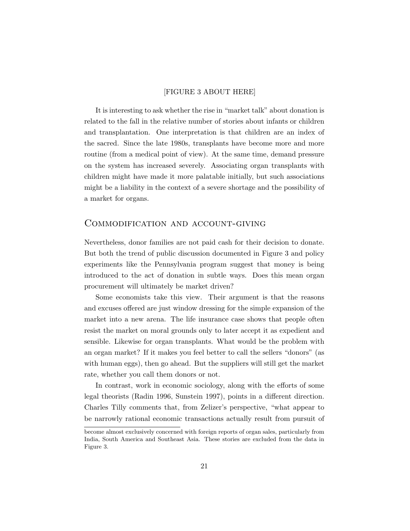## [FIGURE 3 ABOUT HERE]

It is interesting to ask whether the rise in "market talk" about donation is related to the fall in the relative number of stories about infants or children and transplantation. One interpretation is that children are an index of the sacred. Since the late 1980s, transplants have become more and more routine (from a medical point of view). At the same time, demand pressure on the system has increased severely. Associating organ transplants with children might have made it more palatable initially, but such associations might be a liability in the context of a severe shortage and the possibility of a market for organs.

# Commodification and account-giving

Nevertheless, donor families are not paid cash for their decision to donate. But both the trend of public discussion documented in Figure 3 and policy experiments like the Pennsylvania program suggest that money is being introduced to the act of donation in subtle ways. Does this mean organ procurement will ultimately be market driven?

Some economists take this view. Their argument is that the reasons and excuses offered are just window dressing for the simple expansion of the market into a new arena. The life insurance case shows that people often resist the market on moral grounds only to later accept it as expedient and sensible. Likewise for organ transplants. What would be the problem with an organ market? If it makes you feel better to call the sellers "donors" (as with human eggs), then go ahead. But the suppliers will still get the market rate, whether you call them donors or not.

In contrast, work in economic sociology, along with the efforts of some legal theorists (Radin 1996, Sunstein 1997), points in a different direction. Charles Tilly comments that, from Zelizer's perspective, "what appear to be narrowly rational economic transactions actually result from pursuit of

become almost exclusively concerned with foreign reports of organ sales, particularly from India, South America and Southeast Asia. These stories are excluded from the data in Figure 3.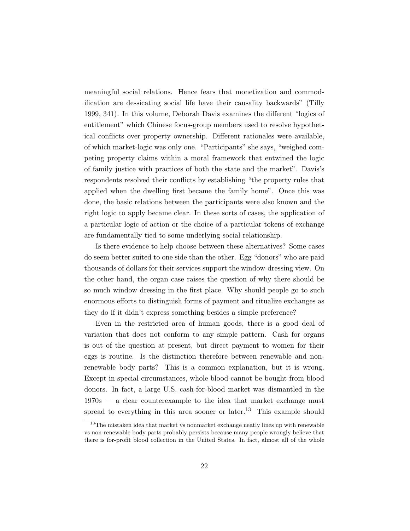meaningful social relations. Hence fears that monetization and commodification are dessicating social life have their causality backwards" (Tilly 1999, 341). In this volume, Deborah Davis examines the different "logics of entitlement" which Chinese focus-group members used to resolve hypothetical conflicts over property ownership. Different rationales were available, of which market-logic was only one. "Participants" she says, "weighed competing property claims within a moral framework that entwined the logic of family justice with practices of both the state and the market". Davis's respondents resolved their conflicts by establishing "the property rules that applied when the dwelling first became the family home". Once this was done, the basic relations between the participants were also known and the right logic to apply became clear. In these sorts of cases, the application of a particular logic of action or the choice of a particular tokens of exchange are fundamentally tied to some underlying social relationship.

Is there evidence to help choose between these alternatives? Some cases do seem better suited to one side than the other. Egg "donors" who are paid thousands of dollars for their services support the window-dressing view. On the other hand, the organ case raises the question of why there should be so much window dressing in the first place. Why should people go to such enormous efforts to distinguish forms of payment and ritualize exchanges as they do if it didn't express something besides a simple preference?

Even in the restricted area of human goods, there is a good deal of variation that does not conform to any simple pattern. Cash for organs is out of the question at present, but direct payment to women for their eggs is routine. Is the distinction therefore between renewable and nonrenewable body parts? This is a common explanation, but it is wrong. Except in special circumstances, whole blood cannot be bought from blood donors. In fact, a large U.S. cash-for-blood market was dismantled in the 1970s — a clear counterexample to the idea that market exchange must spread to everything in this area sooner or later.<sup>13</sup> This example should

<sup>&</sup>lt;sup>13</sup>The mistaken idea that market vs nonmarket exchange neatly lines up with renewable vs non-renewable body parts probably persists because many people wrongly believe that there is for-profit blood collection in the United States. In fact, almost all of the whole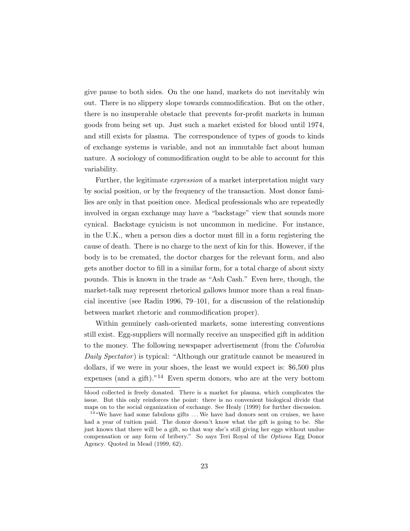give pause to both sides. On the one hand, markets do not inevitably win out. There is no slippery slope towards commodification. But on the other, there is no insuperable obstacle that prevents for-profit markets in human goods from being set up. Just such a market existed for blood until 1974, and still exists for plasma. The correspondence of types of goods to kinds of exchange systems is variable, and not an immutable fact about human nature. A sociology of commodification ought to be able to account for this variability.

Further, the legitimate expression of a market interpretation might vary by social position, or by the frequency of the transaction. Most donor families are only in that position once. Medical professionals who are repeatedly involved in organ exchange may have a "backstage" view that sounds more cynical. Backstage cynicism is not uncommon in medicine. For instance, in the U.K., when a person dies a doctor must fill in a form registering the cause of death. There is no charge to the next of kin for this. However, if the body is to be cremated, the doctor charges for the relevant form, and also gets another doctor to fill in a similar form, for a total charge of about sixty pounds. This is known in the trade as "Ash Cash." Even here, though, the market-talk may represent rhetorical gallows humor more than a real financial incentive (see Radin 1996, 79–101, for a discussion of the relationship between market rhetoric and commodification proper).

Within genuinely cash-oriented markets, some interesting conventions still exist. Egg-suppliers will normally receive an unspecified gift in addition to the money. The following newspaper advertisement (from the *Columbia* Daily Spectator) is typical: "Although our gratitude cannot be measured in dollars, if we were in your shoes, the least we would expect is: \$6,500 plus expenses (and a gift).<sup>"14</sup> Even sperm donors, who are at the very bottom

blood collected is freely donated. There is a market for plasma, which complicates the issue. But this only reinforces the point: there is no convenient biological divide that maps on to the social organization of exchange. See Healy (1999) for further discussion.

 $14$  "We have had some fabulous gifts ... We have had donors sent on cruises, we have had a year of tuition paid. The donor doesn't know what the gift is going to be. She just knows that there will be a gift, so that way she's still giving her eggs without undue compensation or any form of bribery." So says Teri Royal of the Options Egg Donor Agency. Quoted in Mead (1999, 62).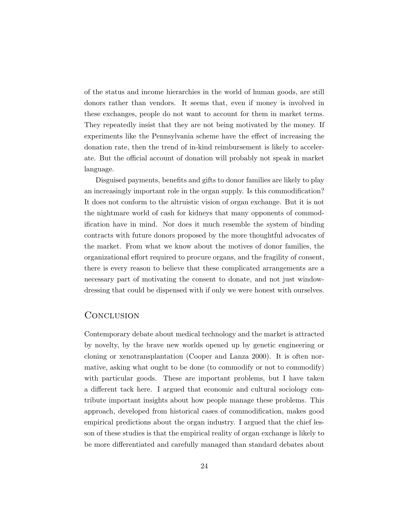of the status and income hierarchies in the world of human goods, are still donors rather than vendors. It seems that, even if money is involved in these exchanges, people do not want to account for them in market terms. They repeatedly insist that they are not being motivated by the money. If experiments like the Pennsylvania scheme have the effect of increasing the donation rate, then the trend of in-kind reimbursement is likely to accelerate. But the official account of donation will probably not speak in market language.

Disguised payments, benefits and gifts to donor families are likely to play an increasingly important role in the organ supply. Is this commodification? It does not conform to the altruistic vision of organ exchange. But it is not the nightmare world of cash for kidneys that many opponents of commodification have in mind. Nor does it much resemble the system of binding contracts with future donors proposed by the more thoughtful advocates of the market. From what we know about the motives of donor families, the organizational effort required to procure organs, and the fragility of consent, there is every reason to believe that these complicated arrangements are a necessary part of motivating the consent to donate, and not just windowdressing that could be dispensed with if only we were honest with ourselves.

# **CONCLUSION**

Contemporary debate about medical technology and the market is attracted by novelty, by the brave new worlds opened up by genetic engineering or cloning or xenotransplantation (Cooper and Lanza 2000). It is often normative, asking what ought to be done (to commodify or not to commodify) with particular goods. These are important problems, but I have taken a different tack here. I argued that economic and cultural sociology contribute important insights about how people manage these problems. This approach, developed from historical cases of commodification, makes good empirical predictions about the organ industry. I argued that the chief lesson of these studies is that the empirical reality of organ exchange is likely to be more differentiated and carefully managed than standard debates about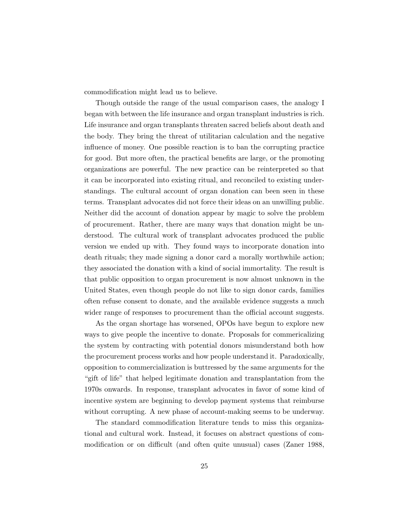commodification might lead us to believe.

Though outside the range of the usual comparison cases, the analogy I began with between the life insurance and organ transplant industries is rich. Life insurance and organ transplants threaten sacred beliefs about death and the body. They bring the threat of utilitarian calculation and the negative influence of money. One possible reaction is to ban the corrupting practice for good. But more often, the practical benefits are large, or the promoting organizations are powerful. The new practice can be reinterpreted so that it can be incorporated into existing ritual, and reconciled to existing understandings. The cultural account of organ donation can been seen in these terms. Transplant advocates did not force their ideas on an unwilling public. Neither did the account of donation appear by magic to solve the problem of procurement. Rather, there are many ways that donation might be understood. The cultural work of transplant advocates produced the public version we ended up with. They found ways to incorporate donation into death rituals; they made signing a donor card a morally worthwhile action; they associated the donation with a kind of social immortality. The result is that public opposition to organ procurement is now almost unknown in the United States, even though people do not like to sign donor cards, families often refuse consent to donate, and the available evidence suggests a much wider range of responses to procurement than the official account suggests.

As the organ shortage has worsened, OPOs have begun to explore new ways to give people the incentive to donate. Proposals for commericalizing the system by contracting with potential donors misunderstand both how the procurement process works and how people understand it. Paradoxically, opposition to commercialization is buttressed by the same arguments for the "gift of life" that helped legitimate donation and transplantation from the 1970s onwards. In response, transplant advocates in favor of some kind of incentive system are beginning to develop payment systems that reimburse without corrupting. A new phase of account-making seems to be underway.

The standard commodification literature tends to miss this organizational and cultural work. Instead, it focuses on abstract questions of commodification or on difficult (and often quite unusual) cases (Zaner 1988,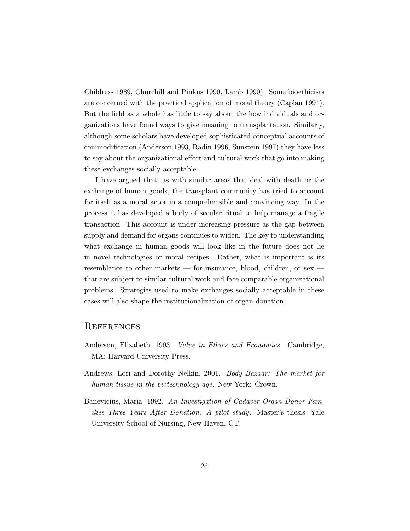Childress 1989, Churchill and Pinkus 1990, Lamb 1990). Some bioethicists are concerned with the practical application of moral theory (Caplan 1994). But the field as a whole has little to say about the how individuals and organizations have found ways to give meaning to transplantation. Similarly, although some scholars have developed sophisticated conceptual accounts of commodification (Anderson 1993, Radin 1996, Sunstein 1997) they have less to say about the organizational effort and cultural work that go into making these exchanges socially acceptable.

I have argued that, as with similar areas that deal with death or the exchange of human goods, the transplant community has tried to account for itself as a moral actor in a comprehensible and convincing way. In the process it has developed a body of secular ritual to help manage a fragile transaction. This account is under increasing pressure as the gap between supply and demand for organs continues to widen. The key to understanding what exchange in human goods will look like in the future does not lie in novel technologies or moral recipes. Rather, what is important is its resemblance to other markets — for insurance, blood, children, or sex that are subject to similar cultural work and face comparable organizational problems. Strategies used to make exchanges socially acceptable in these cases will also shape the institutionalization of organ donation.

## **REFERENCES**

- Anderson, Elizabeth. 1993. Value in Ethics and Economics. Cambridge, MA: Harvard University Press.
- Andrews, Lori and Dorothy Nelkin. 2001. Body Bazaar: The market for human tissue in the biotechnology age. New York: Crown.
- Banevicius, Maria. 1992. An Investigation of Cadaver Organ Donor Families Three Years After Donation: A pilot study. Master's thesis, Yale University School of Nursing, New Haven, CT.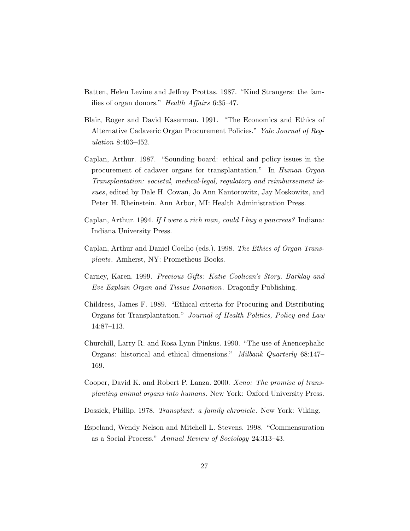- Batten, Helen Levine and Jeffrey Prottas. 1987. "Kind Strangers: the families of organ donors." Health Affairs 6:35–47.
- Blair, Roger and David Kaserman. 1991. "The Economics and Ethics of Alternative Cadaveric Organ Procurement Policies." Yale Journal of Regulation 8:403–452.
- Caplan, Arthur. 1987. "Sounding board: ethical and policy issues in the procurement of cadaver organs for transplantation." In Human Organ Transplantation: societal, medical-legal, regulatory and reimbursement issues, edited by Dale H. Cowan, Jo Ann Kantorowitz, Jay Moskowitz, and Peter H. Rheinstein. Ann Arbor, MI: Health Administration Press.
- Caplan, Arthur. 1994. If I were a rich man, could I buy a pancreas? Indiana: Indiana University Press.
- Caplan, Arthur and Daniel Coelho (eds.). 1998. The Ethics of Organ Transplants. Amherst, NY: Prometheus Books.
- Carney, Karen. 1999. Precious Gifts: Katie Coolican's Story. Barklay and Eve Explain Organ and Tissue Donation. Dragonfly Publishing.
- Childress, James F. 1989. "Ethical criteria for Procuring and Distributing Organs for Transplantation." Journal of Health Politics, Policy and Law 14:87–113.
- Churchill, Larry R. and Rosa Lynn Pinkus. 1990. "The use of Anencephalic Organs: historical and ethical dimensions." Milbank Quarterly 68:147– 169.
- Cooper, David K. and Robert P. Lanza. 2000. Xeno: The promise of transplanting animal organs into humans. New York: Oxford University Press.
- Dossick, Phillip. 1978. Transplant: a family chronicle. New York: Viking.
- Espeland, Wendy Nelson and Mitchell L. Stevens. 1998. "Commensuration as a Social Process." Annual Review of Sociology 24:313–43.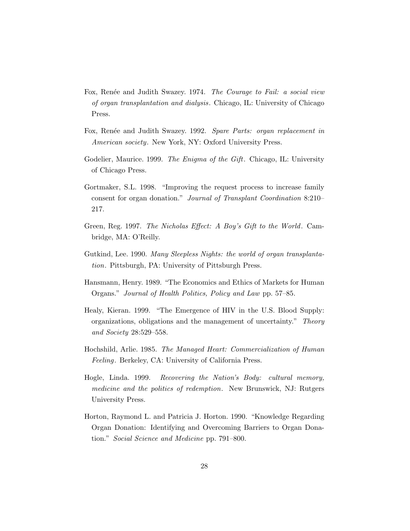- Fox, Renée and Judith Swazey. 1974. The Courage to Fail: a social view of organ transplantation and dialysis. Chicago, IL: University of Chicago Press.
- Fox, Renée and Judith Swazey. 1992. Spare Parts: organ replacement in American society. New York, NY: Oxford University Press.
- Godelier, Maurice. 1999. The Enigma of the Gift. Chicago, IL: University of Chicago Press.
- Gortmaker, S.L. 1998. "Improving the request process to increase family consent for organ donation." Journal of Transplant Coordination 8:210– 217.
- Green, Reg. 1997. The Nicholas Effect: A Boy's Gift to the World. Cambridge, MA: O'Reilly.
- Gutkind, Lee. 1990. Many Sleepless Nights: the world of organ transplantation. Pittsburgh, PA: University of Pittsburgh Press.
- Hansmann, Henry. 1989. "The Economics and Ethics of Markets for Human Organs." Journal of Health Politics, Policy and Law pp. 57–85.
- Healy, Kieran. 1999. "The Emergence of HIV in the U.S. Blood Supply: organizations, obligations and the management of uncertainty." Theory and Society 28:529–558.
- Hochshild, Arlie. 1985. The Managed Heart: Commercialization of Human Feeling. Berkeley, CA: University of California Press.
- Hogle, Linda. 1999. Recovering the Nation's Body: cultural memory, medicine and the politics of redemption. New Brunswick, NJ: Rutgers University Press.
- Horton, Raymond L. and Patricia J. Horton. 1990. "Knowledge Regarding Organ Donation: Identifying and Overcoming Barriers to Organ Donation." Social Science and Medicine pp. 791–800.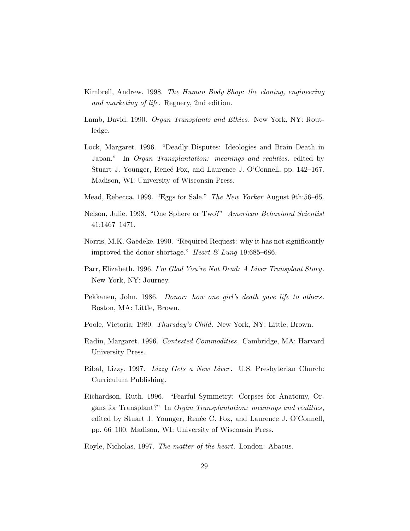- Kimbrell, Andrew. 1998. The Human Body Shop: the cloning, engineering and marketing of life. Regnery, 2nd edition.
- Lamb, David. 1990. Organ Transplants and Ethics. New York, NY: Routledge.
- Lock, Margaret. 1996. "Deadly Disputes: Ideologies and Brain Death in Japan." In Organ Transplantation: meanings and realities, edited by Stuart J. Younger, Reneé Fox, and Laurence J. O'Connell, pp. 142–167. Madison, WI: University of Wisconsin Press.
- Mead, Rebecca. 1999. "Eggs for Sale." The New Yorker August 9th:56–65.
- Nelson, Julie. 1998. "One Sphere or Two?" American Behavioral Scientist 41:1467–1471.
- Norris, M.K. Gaedeke. 1990. "Required Request: why it has not significantly improved the donor shortage." Heart  $\mathcal C$  Lung 19:685–686.
- Parr, Elizabeth. 1996. I'm Glad You're Not Dead: A Liver Transplant Story. New York, NY: Journey.
- Pekkanen, John. 1986. Donor: how one girl's death gave life to others. Boston, MA: Little, Brown.
- Poole, Victoria. 1980. Thursday's Child. New York, NY: Little, Brown.
- Radin, Margaret. 1996. Contested Commodities. Cambridge, MA: Harvard University Press.
- Ribal, Lizzy. 1997. Lizzy Gets a New Liver. U.S. Presbyterian Church: Curriculum Publishing.
- Richardson, Ruth. 1996. "Fearful Symmetry: Corpses for Anatomy, Organs for Transplant?" In Organ Transplantation: meanings and realities, edited by Stuart J. Younger, Renée C. Fox, and Laurence J. O'Connell, pp. 66–100. Madison, WI: University of Wisconsin Press.
- Royle, Nicholas. 1997. The matter of the heart. London: Abacus.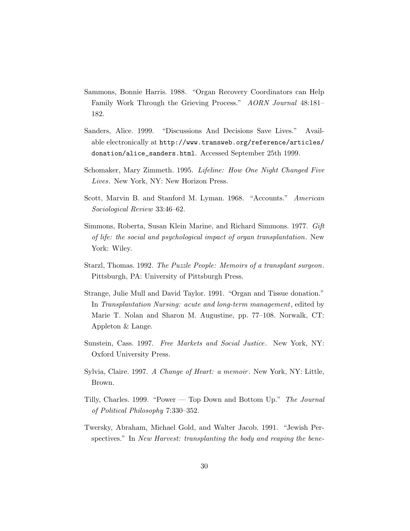- Sammons, Bonnie Harris. 1988. "Organ Recovery Coordinators can Help Family Work Through the Grieving Process." AORN Journal 48:181– 182.
- Sanders, Alice. 1999. "Discussions And Decisions Save Lives." Available electronically at http://www.transweb.org/reference/articles/ donation/alice\_sanders.html. Accessed September 25th 1999.
- Schomaker, Mary Zimmeth. 1995. Lifeline: How One Night Changed Five Lives. New York, NY: New Horizon Press.
- Scott, Marvin B. and Stanford M. Lyman. 1968. "Accounts." American Sociological Review 33:46–62.
- Simmons, Roberta, Susan Klein Marine, and Richard Simmons. 1977. Gift of life: the social and psychological impact of organ transplantation. New York: Wiley.
- Starzl, Thomas. 1992. The Puzzle People: Memoirs of a transplant surgeon. Pittsburgh, PA: University of Pittsburgh Press.
- Strange, Julie Mull and David Taylor. 1991. "Organ and Tissue donation." In Transplantation Nursing: acute and long-term management, edited by Marie T. Nolan and Sharon M. Augustine, pp. 77–108. Norwalk, CT: Appleton & Lange.
- Sunstein, Cass. 1997. Free Markets and Social Justice. New York, NY: Oxford University Press.
- Sylvia, Claire. 1997. A Change of Heart: a memoir . New York, NY: Little, Brown.
- Tilly, Charles. 1999. "Power Top Down and Bottom Up." The Journal of Political Philosophy 7:330–352.
- Twersky, Abraham, Michael Gold, and Walter Jacob. 1991. "Jewish Perspectives." In New Harvest: transplanting the body and reaping the bene-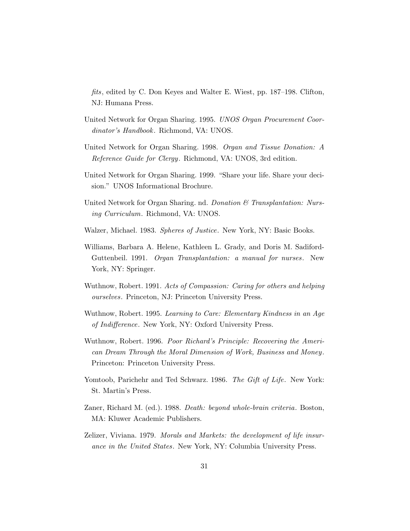fits, edited by C. Don Keyes and Walter E. Wiest, pp. 187–198. Clifton, NJ: Humana Press.

- United Network for Organ Sharing. 1995. UNOS Organ Procurement Coordinator's Handbook. Richmond, VA: UNOS.
- United Network for Organ Sharing. 1998. Organ and Tissue Donation: A Reference Guide for Clergy. Richmond, VA: UNOS, 3rd edition.
- United Network for Organ Sharing. 1999. "Share your life. Share your decision." UNOS Informational Brochure.
- United Network for Organ Sharing. nd. Donation & Transplantation: Nursing Curriculum. Richmond, VA: UNOS.
- Walzer, Michael. 1983. Spheres of Justice. New York, NY: Basic Books.
- Williams, Barbara A. Helene, Kathleen L. Grady, and Doris M. Sadiford-Guttenbeil. 1991. Organ Transplantation: a manual for nurses. New York, NY: Springer.
- Wuthnow, Robert. 1991. Acts of Compassion: Caring for others and helping ourselves. Princeton, NJ: Princeton University Press.
- Wuthnow, Robert. 1995. Learning to Care: Elementary Kindness in an Age of Indifference. New York, NY: Oxford University Press.
- Wuthnow, Robert. 1996. Poor Richard's Principle: Recovering the American Dream Through the Moral Dimension of Work, Business and Money. Princeton: Princeton University Press.
- Yomtoob, Parichehr and Ted Schwarz. 1986. The Gift of Life. New York: St. Martin's Press.
- Zaner, Richard M. (ed.). 1988. Death: beyond whole-brain criteria. Boston, MA: Kluwer Academic Publishers.
- Zelizer, Viviana. 1979. Morals and Markets: the development of life insurance in the United States. New York, NY: Columbia University Press.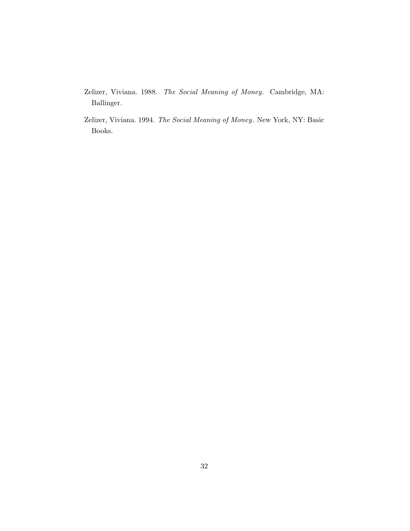- Zelizer, Viviana. 1988. The Social Meaning of Money. Cambridge, MA: Ballinger.
- Zelizer, Viviana. 1994. The Social Meaning of Money. New York, NY: Basic Books.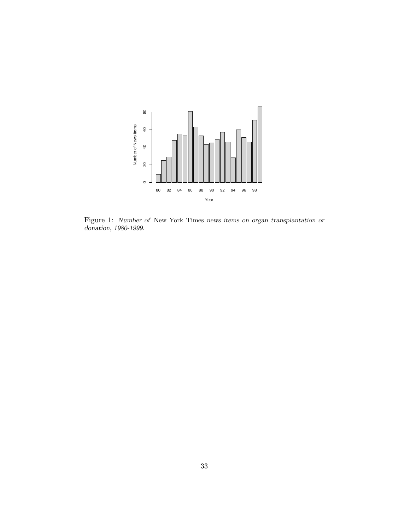

Figure 1: Number of New York Times news items on organ transplantation or donation, 1980-1999.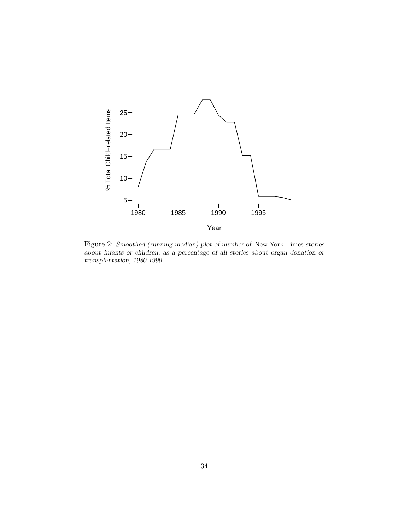

Figure 2: Smoothed (running median) plot of number of New York Times stories about infants or children, as a percentage of all stories about organ donation or transplantation, 1980-1999.